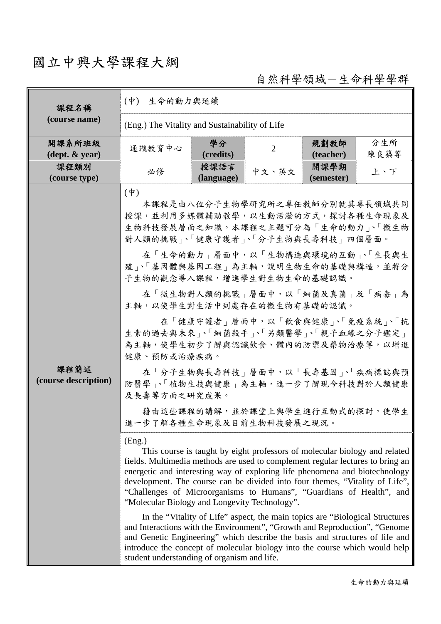## 國立中興大學課程大綱

自然科學領域-生命科學學群

| 課程名稱<br>(course name)                      | 生命的動力與延續<br>$(\phi)$                                                                                                                                                                                                                                                                                                                                                                                                                                                                                                                                                                                                                                                                                                                                                                                                                                                                                                                                                                                                                                                             |                    |                                                                                                                                                                                                                                                                                                                                                                           |                    |             |  |
|--------------------------------------------|----------------------------------------------------------------------------------------------------------------------------------------------------------------------------------------------------------------------------------------------------------------------------------------------------------------------------------------------------------------------------------------------------------------------------------------------------------------------------------------------------------------------------------------------------------------------------------------------------------------------------------------------------------------------------------------------------------------------------------------------------------------------------------------------------------------------------------------------------------------------------------------------------------------------------------------------------------------------------------------------------------------------------------------------------------------------------------|--------------------|---------------------------------------------------------------------------------------------------------------------------------------------------------------------------------------------------------------------------------------------------------------------------------------------------------------------------------------------------------------------------|--------------------|-------------|--|
|                                            | (Eng.) The Vitality and Sustainability of Life                                                                                                                                                                                                                                                                                                                                                                                                                                                                                                                                                                                                                                                                                                                                                                                                                                                                                                                                                                                                                                   |                    |                                                                                                                                                                                                                                                                                                                                                                           |                    |             |  |
| 開課系所班級<br>$(\text{dept.} \& \text{ year})$ | 通識教育中心                                                                                                                                                                                                                                                                                                                                                                                                                                                                                                                                                                                                                                                                                                                                                                                                                                                                                                                                                                                                                                                                           | 學分<br>(credits)    | 2                                                                                                                                                                                                                                                                                                                                                                         | 規劃教師<br>(teacher)  | 分生所<br>陳良築等 |  |
| 課程類別<br>(course type)                      | 必修                                                                                                                                                                                                                                                                                                                                                                                                                                                                                                                                                                                                                                                                                                                                                                                                                                                                                                                                                                                                                                                                               | 授課語言<br>(language) | 中文、英文                                                                                                                                                                                                                                                                                                                                                                     | 開課學期<br>(semester) | 上、下         |  |
| 課程簡述<br>(course description)               | $(\phi)$<br>授課,並利用多媒體輔助教學,以生動活潑的方式,探討各種生命現象及<br>生物科技發展層面之知識。本課程之主題可分為「生命的動力」、「微生物<br>對人類的挑戰」、「健康守護者」、「分子生物與長壽科技」四個層面。<br>殖、「基因體與基因工程」為主軸,說明生物生命的基礎與構造,並將分<br>子生物的觀念導入課程,增進學生對生物生命的基礎認識。<br>主軸,以使學生對生活中到處存在的微生物有基礎的認識。<br>生素的過去與未來」、「細菌殺手」、「另類醫學」、「親子血緣之分子鑑定」<br>為主軸,使學生初步了解與認識飲食、體內的防禦及藥物治療等,以增進<br>健康、預防或治療疾病。<br>防醫學」、「植物生技與健康」為主軸,進一步了解現今科技對於人類健康<br>及長壽等方面之研究成果。<br>進一步了解各種生命現象及目前生物科技發展之現況。<br>(Eng.)<br>fields. Multimedia methods are used to complement regular lectures to bring an<br>energetic and interesting way of exploring life phenomena and biotechnology<br>development. The course can be divided into four themes, "Vitality of Life",<br>"Challenges of Microorganisms to Humans", "Guardians of Health", and<br>"Molecular Biology and Longevity Technology".<br>and Interactions with the Environment", "Growth and Reproduction", "Genome<br>and Genetic Engineering" which describe the basis and structures of life and<br>introduce the concept of molecular biology into the course which would help<br>student understanding of organism and life. |                    | 本課程是由八位分子生物學研究所之專任教師分別就其專長領域共同<br>在「生命的動力」層面中,以「生物構造與環境的互動」、「生長與生<br>在「微生物對人類的挑戰」層面中,以「細菌及真菌」及「病毒」為<br>在「健康守護者」層面中,以「飲食與健康」、「免疫系統」、「抗<br>在「分子生物與長壽科技」層面中,以「長壽基因」、「疾病標誌與預<br>藉由這些課程的講解,並於課堂上與學生進行互動式的探討,使學生<br>This course is taught by eight professors of molecular biology and related<br>In the "Vitality of Life" aspect, the main topics are "Biological Structures" |                    |             |  |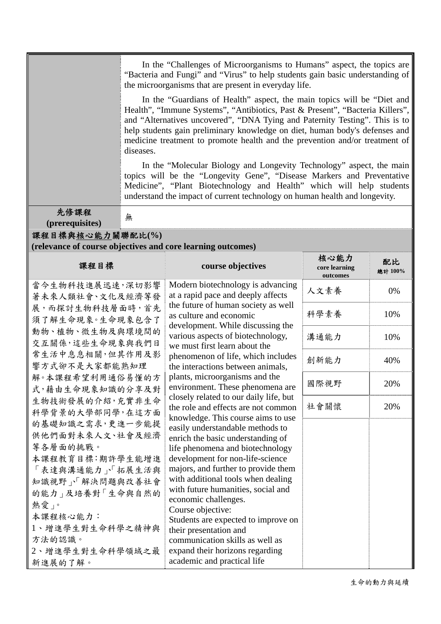|                                                                                                                                                                                                                                                                                                                                                                                                                                             | In the "Challenges of Microorganisms to Humans" aspect, the topics are<br>"Bacteria and Fungi" and "Virus" to help students gain basic understanding of<br>the microorganisms that are present in everyday life.<br>In the "Guardians of Health" aspect, the main topics will be "Diet and<br>Health", "Immune Systems", "Antibiotics, Past & Present", "Bacteria Killers",<br>and "Alternatives uncovered", "DNA Tying and Paternity Testing". This is to<br>help students gain preliminary knowledge on diet, human body's defenses and<br>medicine treatment to promote health and the prevention and/or treatment of<br>diseases.<br>In the "Molecular Biology and Longevity Technology" aspect, the main<br>topics will be the "Longevity Gene", "Disease Markers and Preventative<br>Medicine", "Plant Biotechnology and Health" which will help students<br>understand the impact of current technology on human health and longevity. |                                                                                                                                                                                                                                                                                                                                                                                                                                                                                                                                                                                                                                                                                                                                                                                                                                                                                                                                                                                                                     |                                   |               |  |  |  |
|---------------------------------------------------------------------------------------------------------------------------------------------------------------------------------------------------------------------------------------------------------------------------------------------------------------------------------------------------------------------------------------------------------------------------------------------|-----------------------------------------------------------------------------------------------------------------------------------------------------------------------------------------------------------------------------------------------------------------------------------------------------------------------------------------------------------------------------------------------------------------------------------------------------------------------------------------------------------------------------------------------------------------------------------------------------------------------------------------------------------------------------------------------------------------------------------------------------------------------------------------------------------------------------------------------------------------------------------------------------------------------------------------------|---------------------------------------------------------------------------------------------------------------------------------------------------------------------------------------------------------------------------------------------------------------------------------------------------------------------------------------------------------------------------------------------------------------------------------------------------------------------------------------------------------------------------------------------------------------------------------------------------------------------------------------------------------------------------------------------------------------------------------------------------------------------------------------------------------------------------------------------------------------------------------------------------------------------------------------------------------------------------------------------------------------------|-----------------------------------|---------------|--|--|--|
| 先修課程                                                                                                                                                                                                                                                                                                                                                                                                                                        | 無                                                                                                                                                                                                                                                                                                                                                                                                                                                                                                                                                                                                                                                                                                                                                                                                                                                                                                                                             |                                                                                                                                                                                                                                                                                                                                                                                                                                                                                                                                                                                                                                                                                                                                                                                                                                                                                                                                                                                                                     |                                   |               |  |  |  |
| (prerequisites)                                                                                                                                                                                                                                                                                                                                                                                                                             |                                                                                                                                                                                                                                                                                                                                                                                                                                                                                                                                                                                                                                                                                                                                                                                                                                                                                                                                               |                                                                                                                                                                                                                                                                                                                                                                                                                                                                                                                                                                                                                                                                                                                                                                                                                                                                                                                                                                                                                     |                                   |               |  |  |  |
| 課程目標與核心能力關聯配比(%)                                                                                                                                                                                                                                                                                                                                                                                                                            |                                                                                                                                                                                                                                                                                                                                                                                                                                                                                                                                                                                                                                                                                                                                                                                                                                                                                                                                               | (relevance of course objectives and core learning outcomes)                                                                                                                                                                                                                                                                                                                                                                                                                                                                                                                                                                                                                                                                                                                                                                                                                                                                                                                                                         |                                   |               |  |  |  |
| 課程目標                                                                                                                                                                                                                                                                                                                                                                                                                                        |                                                                                                                                                                                                                                                                                                                                                                                                                                                                                                                                                                                                                                                                                                                                                                                                                                                                                                                                               | course objectives                                                                                                                                                                                                                                                                                                                                                                                                                                                                                                                                                                                                                                                                                                                                                                                                                                                                                                                                                                                                   | 核心能力<br>core learning<br>outcomes | 配比<br>總計 100% |  |  |  |
| 當今生物科技進展迅速,深切影響<br>著未來人類社會、文化及經濟等發<br>展,而探討生物科技層面時,首先<br>須了解生命現象。生命現象包含了<br>動物、植物、微生物及與環境間的<br>交互關係,這些生命現象與我們日<br>常生活中息息相關,但其作用及影<br>響方式卻不是大家都能熟知理<br>解。本課程希望利用通俗易懂的方<br>式,藉由生命現象知識的分享及對<br>生物技術發展的介紹,充實非生命<br>科學背景的大學部同學,在這方面<br>的基礎知識之需求,更進一步能提<br>供他們面對未來人文、社會及經濟<br>等各層面的挑戰。<br>本課程教育目標:期許學生能增進<br>「表達與溝通能力」「拓展生活與<br>知識視野、「解決問題與改善社會<br>的能力 及培養對「生命與自然的<br>熱愛」。<br>本課程核心能力:<br>1、增進學生對生命科學之精神與<br>方法的認識。<br>2、增進學生對生命科學領域之最<br>新進展的了解。 |                                                                                                                                                                                                                                                                                                                                                                                                                                                                                                                                                                                                                                                                                                                                                                                                                                                                                                                                               | Modern biotechnology is advancing<br>at a rapid pace and deeply affects<br>the future of human society as well<br>as culture and economic<br>development. While discussing the<br>various aspects of biotechnology,<br>we must first learn about the<br>phenomenon of life, which includes<br>the interactions between animals,<br>plants, microorganisms and the<br>environment. These phenomena are<br>closely related to our daily life, but<br>the role and effects are not common<br>knowledge. This course aims to use<br>easily understandable methods to<br>enrich the basic understanding of<br>life phenomena and biotechnology<br>development for non-life-science<br>majors, and further to provide them<br>with additional tools when dealing<br>with future humanities, social and<br>economic challenges.<br>Course objective:<br>Students are expected to improve on<br>their presentation and<br>communication skills as well as<br>expand their horizons regarding<br>academic and practical life | 人文素養                              | 0%            |  |  |  |
|                                                                                                                                                                                                                                                                                                                                                                                                                                             |                                                                                                                                                                                                                                                                                                                                                                                                                                                                                                                                                                                                                                                                                                                                                                                                                                                                                                                                               |                                                                                                                                                                                                                                                                                                                                                                                                                                                                                                                                                                                                                                                                                                                                                                                                                                                                                                                                                                                                                     | 科學素養                              | 10%           |  |  |  |
|                                                                                                                                                                                                                                                                                                                                                                                                                                             |                                                                                                                                                                                                                                                                                                                                                                                                                                                                                                                                                                                                                                                                                                                                                                                                                                                                                                                                               |                                                                                                                                                                                                                                                                                                                                                                                                                                                                                                                                                                                                                                                                                                                                                                                                                                                                                                                                                                                                                     | 溝通能力                              | 10%           |  |  |  |
|                                                                                                                                                                                                                                                                                                                                                                                                                                             |                                                                                                                                                                                                                                                                                                                                                                                                                                                                                                                                                                                                                                                                                                                                                                                                                                                                                                                                               |                                                                                                                                                                                                                                                                                                                                                                                                                                                                                                                                                                                                                                                                                                                                                                                                                                                                                                                                                                                                                     | 創新能力                              | 40%           |  |  |  |
|                                                                                                                                                                                                                                                                                                                                                                                                                                             |                                                                                                                                                                                                                                                                                                                                                                                                                                                                                                                                                                                                                                                                                                                                                                                                                                                                                                                                               |                                                                                                                                                                                                                                                                                                                                                                                                                                                                                                                                                                                                                                                                                                                                                                                                                                                                                                                                                                                                                     | 國際視野                              | 20%           |  |  |  |
|                                                                                                                                                                                                                                                                                                                                                                                                                                             |                                                                                                                                                                                                                                                                                                                                                                                                                                                                                                                                                                                                                                                                                                                                                                                                                                                                                                                                               |                                                                                                                                                                                                                                                                                                                                                                                                                                                                                                                                                                                                                                                                                                                                                                                                                                                                                                                                                                                                                     | 社會關懷                              | 20%           |  |  |  |
|                                                                                                                                                                                                                                                                                                                                                                                                                                             |                                                                                                                                                                                                                                                                                                                                                                                                                                                                                                                                                                                                                                                                                                                                                                                                                                                                                                                                               |                                                                                                                                                                                                                                                                                                                                                                                                                                                                                                                                                                                                                                                                                                                                                                                                                                                                                                                                                                                                                     |                                   |               |  |  |  |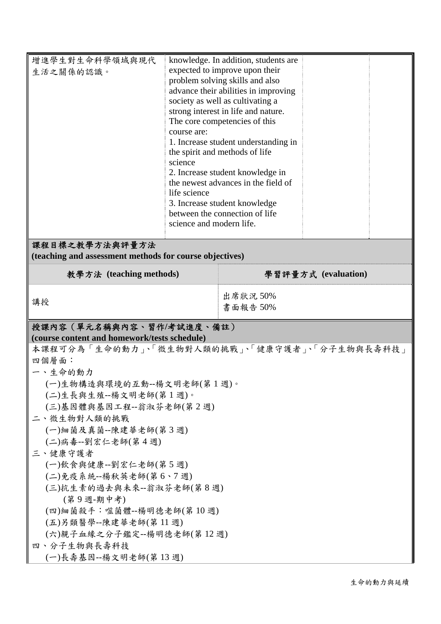| 增進學生對生命科學領域與現代<br>生活之關係的認識。<br>course are:<br>science<br>life science<br>science and modern life.                                                                                                                                                                                                                                                                                                                                                                                                                         |  | knowledge. In addition, students are<br>expected to improve upon their<br>problem solving skills and also<br>advance their abilities in improving<br>society as well as cultivating a<br>strong interest in life and nature.<br>The core competencies of this<br>1. Increase student understanding in<br>the spirit and methods of life<br>2. Increase student knowledge in<br>the newest advances in the field of<br>3. Increase student knowledge<br>between the connection of life |  |  |
|---------------------------------------------------------------------------------------------------------------------------------------------------------------------------------------------------------------------------------------------------------------------------------------------------------------------------------------------------------------------------------------------------------------------------------------------------------------------------------------------------------------------------|--|---------------------------------------------------------------------------------------------------------------------------------------------------------------------------------------------------------------------------------------------------------------------------------------------------------------------------------------------------------------------------------------------------------------------------------------------------------------------------------------|--|--|
| 課程目標之教學方法與評量方法<br>(teaching and assessment methods for course objectives)                                                                                                                                                                                                                                                                                                                                                                                                                                                 |  |                                                                                                                                                                                                                                                                                                                                                                                                                                                                                       |  |  |
| 教學方法 (teaching methods)                                                                                                                                                                                                                                                                                                                                                                                                                                                                                                   |  | 學習評量方式 (evaluation)                                                                                                                                                                                                                                                                                                                                                                                                                                                                   |  |  |
| 講授                                                                                                                                                                                                                                                                                                                                                                                                                                                                                                                        |  | 出席狀況 50%<br>書面報告 50%                                                                                                                                                                                                                                                                                                                                                                                                                                                                  |  |  |
| 授課內容 (單元名稱與內容、習作/考試進度、備註)<br>(course content and homework/tests schedule)<br>本課程可分為「生命的動力」、「微生物對人類的挑戰」、「健康守護者」、「分子生物與長壽科技」<br>四個層面:<br>一、生命的動力<br>(一)生物構造與環境的互動--楊文明老師(第1週)。<br>(二)生長與生殖--楊文明老師(第1週)。<br>(三)基因體與基因工程--翁淑芬老師(第2週)<br>二、微生物對人類的挑戰<br>(一)細菌及真菌--陳建華老師(第3週)<br>(二)病毒--劉宏仁老師(第4週)<br>三、健康守護者<br>(一)飲食與健康--劉宏仁老師(第5週)<br>(二)免疫系統--楊秋英老師(第6、7週)<br>(三)抗生素的過去與未來--翁淑芬老師(第8週)<br>(第9週-期中考)<br>(四)細菌殺手:噬菌體--楊明德老師(第10週)<br>(五)另類醫學--陳建華老師(第11週)<br>(六)親子血緣之分子鑑定--楊明德老師(第12週)<br>四、分子生物與長壽科技<br>(一)長壽基因--楊文明老師(第13週) |  |                                                                                                                                                                                                                                                                                                                                                                                                                                                                                       |  |  |